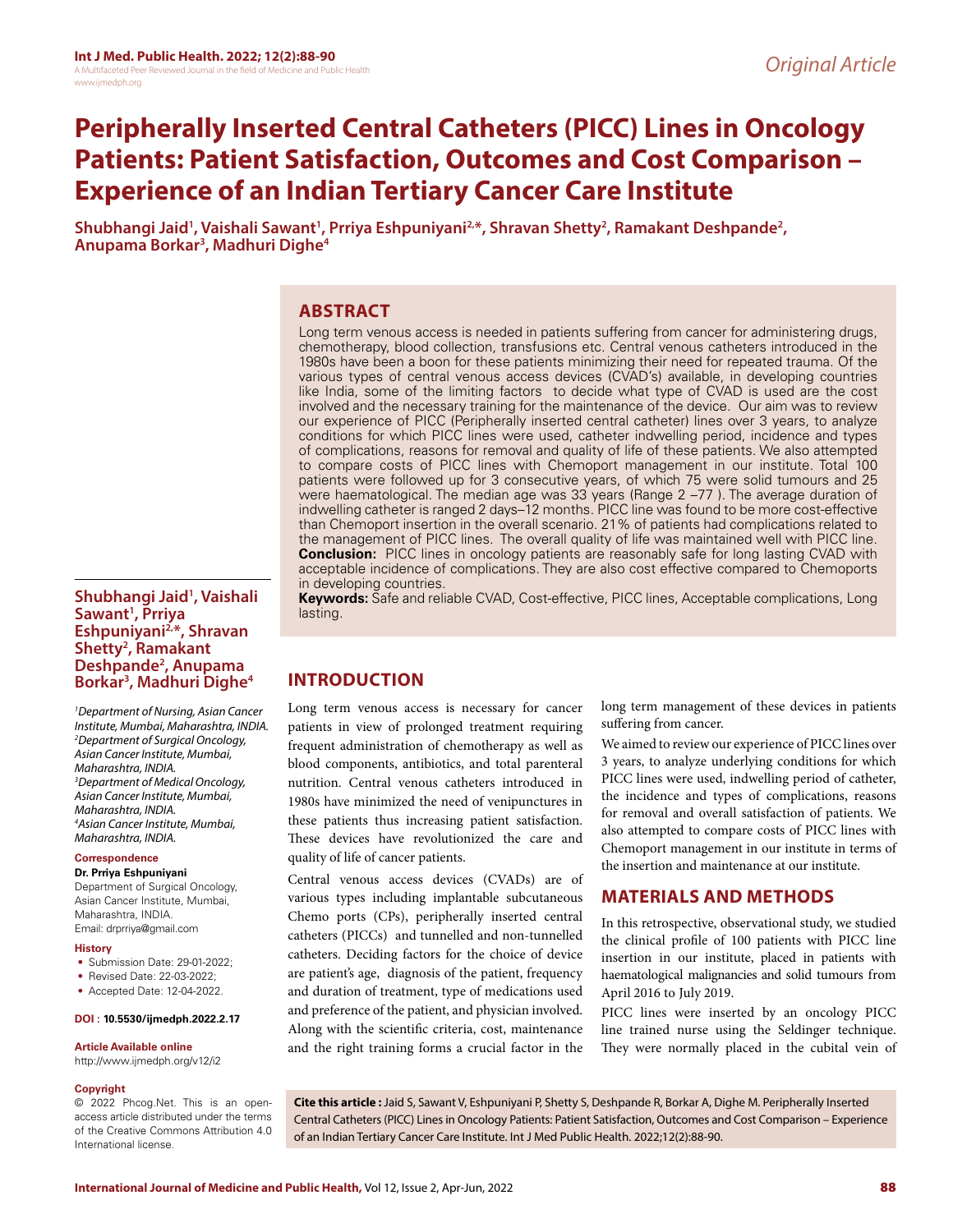# **Peripherally Inserted Central Catheters (PICC) Lines in Oncology Patients: Patient Satisfaction, Outcomes and Cost Comparison – Experience of an Indian Tertiary Cancer Care Institute**

Shubhangi Jaid<sup>1</sup>, Vaishali Sawant<sup>1</sup>, Prriya Eshpuniyani<sup>2,</sup>\*, Shravan Shetty<sup>2</sup>, Ramakant Deshpande<sup>2</sup>,<br>Anupama Borkar<sup>3</sup>, Madhuri Dighe<sup>4</sup> Anupama Borkar<sup>3</sup>, Madhuri Dighe<sup>4</sup>

# **ABSTRACT**

Long term venous access is needed in patients suffering from cancer for administering drugs, chemotherapy, blood collection, transfusions etc. Central venous catheters introduced in the 1980s have been a boon for these patients minimizing their need for repeated trauma. Of the various types of central venous access devices (CVAD's) available, in developing countries like India, some of the limiting factors to decide what type of CVAD is used are the cost involved and the necessary training for the maintenance of the device. Our aim was to review our experience of PICC (Peripherally inserted central catheter) lines over 3 years, to analyze conditions for which PICC lines were used, catheter indwelling period, incidence and types of complications, reasons for removal and quality of life of these patients. We also attempted to compare costs of PICC lines with Chemoport management in our institute. Total 100 patients were followed up for 3 consecutive years, of which 75 were solid tumours and 25 were haematological. The median age was 33 years (Range 2 –77 ). The average duration of indwelling catheter is ranged 2 days–12 months. PICC line was found to be more cost-effective than Chemoport insertion in the overall scenario. 21% of patients had complications related to the management of PICC lines. The overall quality of life was maintained well with PICC line. **Conclusion:** PICC lines in oncology patients are reasonably safe for long lasting CVAD with acceptable incidence of complications. They are also cost effective compared to Chemoports in developing countries. **Keywords:** Safe and reliable CVAD, Cost-effective, PICC lines, Acceptable complications, Long

## **Shubhangi Jaid1 , Vaishali Sawant1 , Prriya Eshpuniyani2,\*, Shravan Shetty2 , Ramakant Deshpande2 , Anupama Borkar3 , Madhuri Dighe4**

*1 Department of Nursing, Asian Cancer Institute, Mumbai, Maharashtra, INDIA. 2 Department of Surgical Oncology, Asian Cancer Institute, Mumbai, Maharashtra, INDIA. 3 Department of Medical Oncology, Asian Cancer Institute, Mumbai, Maharashtra, INDIA. 4 Asian Cancer Institute, Mumbai, Maharashtra, INDIA.*

**Correspondence Dr. Prriya Eshpuniyani**

Department of Surgical Oncology, Asian Cancer Institute, Mumbai, Maharashtra, INDIA. Email: drprriya@gmail.com

#### **History**

- Submission Date: 29-01-2022;
- Revised Date: 22-03-2022;
- Accepted Date: 12-04-2022.

#### **DOI : 10.5530/ijmedph.2022.2.17**

#### **Article Available online**

http://www.ijmedph.org/v12/i2

#### **Copyright**

© 2022 Phcog.Net. This is an openaccess article distributed under the terms of the Creative Commons Attribution 4.0 International license.

**INTRODUCTION**

lasting.

Long term venous access is necessary for cancer patients in view of prolonged treatment requiring frequent administration of chemotherapy as well as blood components, antibiotics, and total parenteral nutrition. Central venous catheters introduced in 1980s have minimized the need of venipunctures in these patients thus increasing patient satisfaction. These devices have revolutionized the care and quality of life of cancer patients.

Central venous access devices (CVADs) are of various types including implantable subcutaneous Chemo ports (CPs), peripherally inserted central catheters (PICCs) and tunnelled and non-tunnelled catheters. Deciding factors for the choice of device are patient's age, diagnosis of the patient, frequency and duration of treatment, type of medications used and preference of the patient, and physician involved. Along with the scientific criteria, cost, maintenance and the right training forms a crucial factor in the long term management of these devices in patients suffering from cancer.

We aimed to review our experience of PICC lines over 3 years, to analyze underlying conditions for which PICC lines were used, indwelling period of catheter, the incidence and types of complications, reasons for removal and overall satisfaction of patients. We also attempted to compare costs of PICC lines with Chemoport management in our institute in terms of the insertion and maintenance at our institute.

## **MATERIALS AND METHODS**

In this retrospective, observational study, we studied the clinical profile of 100 patients with PICC line insertion in our institute, placed in patients with haematological malignancies and solid tumours from April 2016 to July 2019.

PICC lines were inserted by an oncology PICC line trained nurse using the Seldinger technique. They were normally placed in the cubital vein of

**Cite this article :** Jaid S, Sawant V, Eshpuniyani P, Shetty S, Deshpande R, Borkar A, Dighe M. Peripherally Inserted Central Catheters (PICC) Lines in Oncology Patients: Patient Satisfaction, Outcomes and Cost Comparison – Experience of an Indian Tertiary Cancer Care Institute. Int J Med Public Health. 2022;12(2):88-90.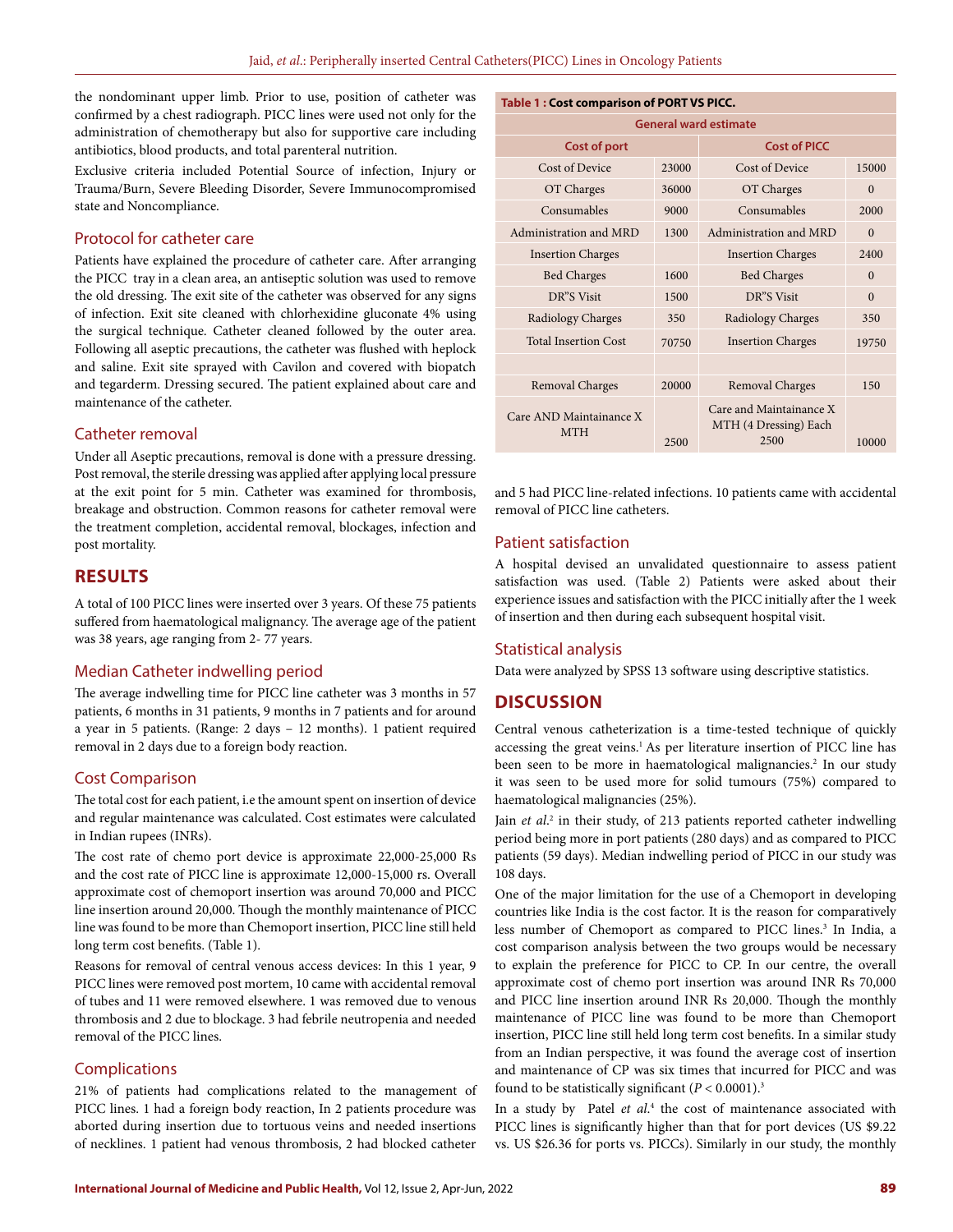the nondominant upper limb. Prior to use, position of catheter was confirmed by a chest radiograph. PICC lines were used not only for the administration of chemotherapy but also for supportive care including antibiotics, blood products, and total parenteral nutrition.

Exclusive criteria included Potential Source of infection, Injury or Trauma/Burn, Severe Bleeding Disorder, Severe Immunocompromised state and Noncompliance.

#### Protocol for catheter care

Patients have explained the procedure of catheter care. After arranging the PICC tray in a clean area, an antiseptic solution was used to remove the old dressing. The exit site of the catheter was observed for any signs of infection. Exit site cleaned with chlorhexidine gluconate 4% using the surgical technique. Catheter cleaned followed by the outer area. Following all aseptic precautions, the catheter was flushed with heplock and saline. Exit site sprayed with Cavilon and covered with biopatch and tegarderm. Dressing secured. The patient explained about care and maintenance of the catheter.

#### Catheter removal

Under all Aseptic precautions, removal is done with a pressure dressing. Post removal, the sterile dressing was applied after applying local pressure at the exit point for 5 min. Catheter was examined for thrombosis, breakage and obstruction. Common reasons for catheter removal were the treatment completion, accidental removal, blockages, infection and post mortality.

## **RESULTS**

A total of 100 PICC lines were inserted over 3 years. Of these 75 patients suffered from haematological malignancy. The average age of the patient was 38 years, age ranging from 2- 77 years.

## Median Catheter indwelling period

The average indwelling time for PICC line catheter was 3 months in 57 patients, 6 months in 31 patients, 9 months in 7 patients and for around a year in 5 patients. (Range: 2 days – 12 months). 1 patient required removal in 2 days due to a foreign body reaction.

#### Cost Comparison

The total cost for each patient, i.e the amount spent on insertion of device and regular maintenance was calculated. Cost estimates were calculated in Indian rupees (INRs).

The cost rate of chemo port device is approximate 22,000-25,000 Rs and the cost rate of PICC line is approximate 12,000-15,000 rs. Overall approximate cost of chemoport insertion was around 70,000 and PICC line insertion around 20,000. Though the monthly maintenance of PICC line was found to be more than Chemoport insertion, PICC line still held long term cost benefits. (Table 1).

Reasons for removal of central venous access devices: In this 1 year, 9 PICC lines were removed post mortem, 10 came with accidental removal of tubes and 11 were removed elsewhere. 1 was removed due to venous thrombosis and 2 due to blockage. 3 had febrile neutropenia and needed removal of the PICC lines.

### Complications

21% of patients had complications related to the management of PICC lines. 1 had a foreign body reaction, In 2 patients procedure was aborted during insertion due to tortuous veins and needed insertions of necklines. 1 patient had venous thrombosis, 2 had blocked catheter

| <b>Table 1: Cost comparison of PORT VS PICC.</b> |       |                                                          |          |  |  |  |  |
|--------------------------------------------------|-------|----------------------------------------------------------|----------|--|--|--|--|
| <b>General ward estimate</b>                     |       |                                                          |          |  |  |  |  |
| <b>Cost of port</b>                              |       | <b>Cost of PICC</b>                                      |          |  |  |  |  |
| Cost of Device                                   | 23000 | Cost of Device                                           | 15000    |  |  |  |  |
| OT Charges                                       | 36000 | OT Charges                                               | $\Omega$ |  |  |  |  |
| Consumables                                      | 9000  | Consumables                                              | 2000     |  |  |  |  |
| Administration and MRD                           | 1300  | Administration and MRD                                   | $\Omega$ |  |  |  |  |
| <b>Insertion Charges</b>                         |       | <b>Insertion Charges</b>                                 | 2400     |  |  |  |  |
| <b>Bed Charges</b>                               | 1600  | <b>Bed Charges</b>                                       | $\Omega$ |  |  |  |  |
| DR"S Visit                                       | 1500  | DR"S Visit                                               | $\Omega$ |  |  |  |  |
| Radiology Charges                                | 350   | Radiology Charges                                        | 350      |  |  |  |  |
| <b>Total Insertion Cost</b>                      | 70750 | <b>Insertion Charges</b>                                 | 19750    |  |  |  |  |
|                                                  |       |                                                          |          |  |  |  |  |
| Removal Charges                                  | 20000 | Removal Charges                                          | 150      |  |  |  |  |
| Care AND Maintainance X<br><b>MTH</b>            | 2500  | Care and Maintainance X<br>MTH (4 Dressing) Each<br>2500 | 10000    |  |  |  |  |

and 5 had PICC line-related infections. 10 patients came with accidental removal of PICC line catheters.

#### Patient satisfaction

A hospital devised an unvalidated questionnaire to assess patient satisfaction was used. (Table 2) Patients were asked about their experience issues and satisfaction with the PICC initially after the 1 week of insertion and then during each subsequent hospital visit.

#### Statistical analysis

Data were analyzed by SPSS 13 software using descriptive statistics.

## **DISCUSSION**

Central venous catheterization is a time-tested technique of quickly accessing the great veins.<sup>1</sup> As per literature insertion of PICC line has been seen to be more in haematological malignancies.<sup>2</sup> In our study it was seen to be used more for solid tumours (75%) compared to haematological malignancies (25%).

Jain et al.<sup>2</sup> in their study, of 213 patients reported catheter indwelling period being more in port patients (280 days) and as compared to PICC patients (59 days). Median indwelling period of PICC in our study was 108 days.

One of the major limitation for the use of a Chemoport in developing countries like India is the cost factor. It is the reason for comparatively less number of Chemoport as compared to PICC lines.<sup>3</sup> In India, a cost comparison analysis between the two groups would be necessary to explain the preference for PICC to CP. In our centre, the overall approximate cost of chemo port insertion was around INR Rs 70,000 and PICC line insertion around INR Rs 20,000. Though the monthly maintenance of PICC line was found to be more than Chemoport insertion, PICC line still held long term cost benefits. In a similar study from an Indian perspective, it was found the average cost of insertion and maintenance of CP was six times that incurred for PICC and was found to be statistically significant  $(P < 0.0001)^3$ 

In a study by Patel *et al*. 4 the cost of maintenance associated with PICC lines is significantly higher than that for port devices (US \$9.22 vs. US \$26.36 for ports vs. PICCs). Similarly in our study, the monthly